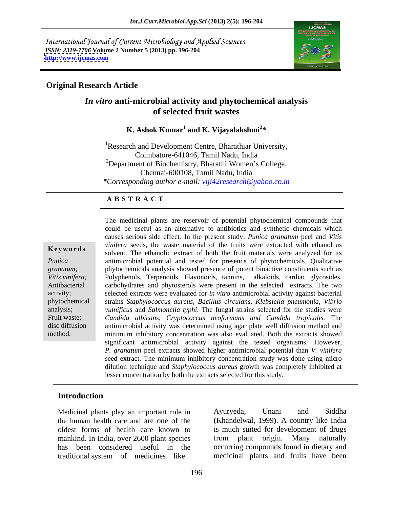International Journal of Current Microbiology and Applied Sciences *ISSN: 2319-7706* **Volume 2 Number 5 (2013) pp. 196-204 <http://www.ijcmas.com>**



## **Original Research Article**

## *In vitro* **anti-microbial activity and phytochemical analysis of selected fruit wastes**

## K. Ashok Kumar<sup>1</sup> and K. Vijayalakshmi<sup>2\*</sup>  **and K. Vijayalakshmi<sup>2</sup> \***

<sup>1</sup>Research and Development Centre, Bharathiar University, Coimbatore-641046, Tamil Nadu, India <sup>2</sup>Department of Biochemistry, Bharathi Women's College, Chennai-600108, Tamil Nadu, India *\*Corresponding author e-mail: viji42research@yahoo.co.in*

## **A B S T R A C T**

**Keywords** solvent. The ethanolic extract of both the fruit materials were analyzed for its *Punica*  antimicrobial potential and tested for presence of phytochemicals. Qualitative *granatum;*  phytochemicals analysis showed presence of potent bioactive constituents such as *Vitis vinifera;*  Polyphenols, Terpenoids, Flavonoids, tannins, alkaloids, cardiac glycosides, Antibacterial carbohydrates and phytosterols were present in the selected extracts. The two activity; selected extracts were evaluated for *in vitro* antimicrobial activity against bacterial phytochemical strains *Staphylococcus aureus, Bacillus circulans, Klebsiella pneumonia, Vibrio* analysis; *vulnificus* and *Salmonella typhi*. The fungal strains selected for the studies were Fruit waste; *Candida albicans, Cryptococcus neoformans and Candida tropicalis.* The disc diffusion antimicrobial activity was determined using agar plate well diffusion method and method. minimum inhibitory concentration was also evaluated. Both the extracts showed The medicinal plants are reservoir of potential phytochemical compounds that could be useful as an alternative to antibiotics and synthetic chemicals which causes serious side effect. In the present study*, Punica granatum* peel and *Vitis vinifera* seeds, the waste material of the fruits were extracted with ethanol as significant antimicrobial activity against the tested organisms. However, *P. granatum* peel extracts showed higher antimicrobial potential than *V. vinifera* seed extract. The minimum inhibitory concentration study was done using micro dilution technique and *Staphylococcus aureus* growth was completely inhibited at lesser concentration by both the extracts selected for this study.

## **Introduction**

mankind. In India, over 2600 plant species from plant origin. Many naturally

Medicinal plants play an important role in Ayurveda, Unani and Siddha the human health care and are one of the **(**Khandelwal, 1999**)**. A country like India oldest forms of health care known to is much suited for development of drugs has been considered useful in the occurring compounds found in dietary and traditional system of medicines like medicinal plants and fruits have been Ayurveda, Unani and Siddha from plant origin. Many naturally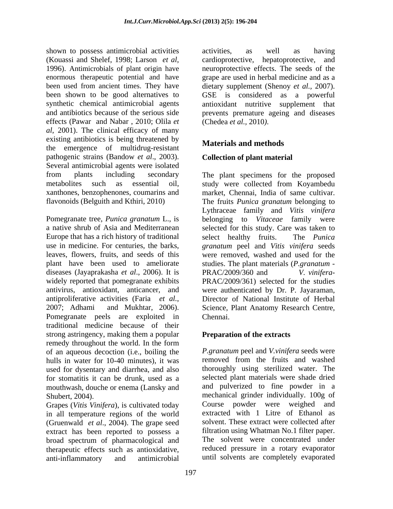shown to possess antimicrobial activities activities, as well as having been used from ancient times. They have dietary supplement (Shenoy *et al.*, 2007). been shown to be good alternatives to GSE is considered as a powerful effects (Pawar and Nabar , 2010; Olila *et al*, 2001). The clinical efficacy of many existing antibiotics is being threatened by the emergence of multidrug-resistant pathogenic strains (Bandow *et al*., 2003). Several antimicrobial agents were isolated xanthones, benzophenones, coumarins and market, Chennai, India of same cultivar. flavonoids (Belguith and Kthiri, 2010) The fruits *Punica granatum* belonging to

Europe that has a rich history of traditional select healthy fruits. The *Punica* diseases (Jayaprakasha *et al*., 2006). It is Pomegranate peels are exploited in Chennai. traditional medicine because of their strong astringency, making them a popular remedy throughout the world. In the form of an aqueous decoction (i.e., boiling the hulls in water for 10-40 minutes), it was used for dysentary and diarrhea, and also for stomatitis it can be drunk, used as a mouthwash, douche or enema (Lansky and

Grapes (*Vitis Vinifera*), is cultivated today in all temperature regions of the world (Gruenwald *et al*., 2004). The grape seed extract has been reported to possess a broad spectrum of pharmacological and therapeutic effects such as antioxidative, anti-inflammatory and antimicrobial until solvents are completely evaporated

(Kouassi and Shelef, 1998; Larson *et al*, cardioprotective, hepatoprotective, and 1996). Antimicrobials of plant origin have neuroprotective effects. The seeds of the enormous therapeutic potential and have grape are used in herbal medicine and as a synthetic chemical antimicrobial agents antioxidant nutritive supplement that and antibiotics because of the serious side prevents premature ageing and diseases activities, as well as having cardioprotective, hepatoprotective, and neuroprotective effects. The seeds of the dietary supplement (Shenoy *et al.,* 2007). GSE is considered as <sup>a</sup> powerful (Chedea *et al.,* 2010*)*.

## **Materials and methods**

## **Collection of plant material**

from plants including secondary The plant specimens for the proposed metabolites such as essential oil, study were collected from Koyambedu Pomegranate tree, *Punica granatum* L., is belonging to *Vitaceae* family were a native shrub of Asia and Mediterranean selected for this study. Care was taken to use in medicine. For centuries, the barks, *granatum* peel and *Vitis vinifera* seeds leaves, flowers, fruits, and seeds of this were removed, washed and used for the plant have been used to ameliorate studies. The plant materials (*P.granatum*  widely reported that pomegranate exhibits PRAC/2009/361) selected for the studies antivirus, antioxidant, anticancer, and were authenticated by Dr. P. Jayaraman, antiproliferative activities (Faria *et al.*, Director of National Institute of Herbal 2007; Adhami and Mukhtar, 2006). Science, Plant Anatomy Research Centre, market, Chennai, India of same cultivar. The fruits *Punica granatum* belonging to Lythraceae family and *Vitis vinifera* select healthy fruits. The *Punica*  PRAC/2009/360 and *V. vinifera*- Director of National Institute of Herbal Science, Plant Anatomy Research Centre, Chennai.

## **Preparation of the extracts**

Shubert, 2004). mechanical grinder individually. 100g of *P.granatum* peel and *V.vinifera* seeds were removed from the fruits and washed thoroughly using sterilized water. The selected plant materials were shade dried and pulverized to fine powder in a Course powder were weighed and extracted with 1 Litre of Ethanol as solvent. These extract were collected after filtration using Whatman No.1 filter paper. The solvent were concentrated under reduced pressure in a rotary evaporator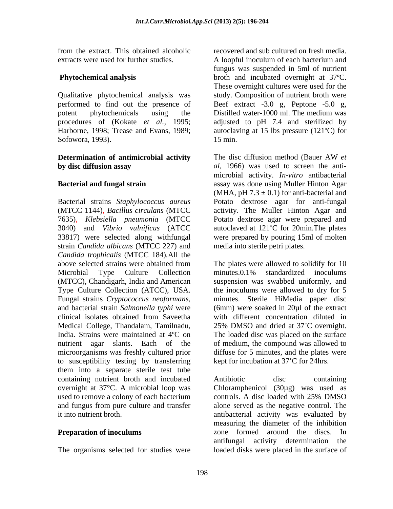extracts were used for further studies. A loopful inoculum of each bacterium and

Qualitative phytochemical analysis was performed to find out the presence of Beef extract -3.0 g, Peptone -5.0 g, potent phytochemicals using the Distilled water-1000 ml. The medium was Sofowora, 1993). 15 min.

# **Determination of antimicrobial activity** The disc diffusion method (Bauer AW et

Bacterial strains *Staphylococcus aureus* Potato dextrose agar for anti-fungal (MTCC 1144), *Bacillus circulans* (MTCC activity. The Muller Hinton Agar and 7635)*, Klebsiella pneumonia* (MTCC Potato dextrose agar were prepared and 3040) and *Vibrio vulnificus* (ATCC autoclaved at 121 C for 20min.The plates 33817) were selected along withfungal were prepared by pouring 15ml of molten strain *Candida albicans* (MTCC 227) and *Candida trophicalis* (MTCC 184)*.*All the and bacterial strain *Salmonella typhi* were microorganisms was freshly cultured prior to susceptibility testing by transferring them into a separate sterile test tube containing nutrient broth and incubated overnight at 37°C. A microbial loop was used to remove a colony of each bacterium controls. A disc loaded with 25% DMSO

from the extract. This obtained alcoholic **Phytochemical analysis** broth and incubated overnight at 37°C. procedures of (Kokate *et al.,* 1995; adjusted to pH 7.4 and sterilized by Harborne, 1998; Trease and Evans, 1989; autoclaving at 15 lbs pressure (121ºC) for recovered and sub cultured on fresh media. A loopful inoculum of each bacterium and fungus was suspended in 5ml of nutrient These overnight cultures were used for the study. Composition of nutrient broth were Beef extract -3.0 g, Peptone -5.0 g, Distilled water-1000 ml. The medium was 15 min.

**by disc diffusion assay** *al*, 1966) was used to screen the anti- **Bacterial and fungal strain**  assay was done using Muller Hinton Agar The disc diffusion method (Bauer AW *et*  microbial activity. *In-vitro* antibacterial (MHA, pH  $7.3 \pm 0.1$ ) for anti-bacterial and

above selected strains were obtained from The plates were allowed to solidify for 10 Microbial Type Culture Collection (MTCC), Chandigarh, India and American suspension was swabbed uniformly, and Type Culture Collection (ATCC), USA. Fungal strains *Cryptococcus neoformans,* clinical isolates obtained from Saveetha Medical College, Thandalam, Tamilnadu, 25% DMSO and dried at 37°C overnight. India. Strains were maintained at 4<sup>o</sup>C on The loaded disc was placed on the surface nutrient agar slants. Each of the of medium, the compound was allowed to media into sterile petri plates.<br>The plates were allowed to solidify for 10 minutes.0.1% standardized inoculums the inoculums were allowed to dry for 5 minutes. Sterile HiMedia paper disc (6mm) were soaked in 20µl of the extract with different concentration diluted in diffuse for 5 minutes, and the plates were kept for incubation at 37°C for 24hrs.

and fungus from pure culture and transfer alone served as the negative control. The it into nutrient broth. antibacterial activity was evaluated by **Preparation of inoculums** *zone* formed around the discs. In The organisms selected for studies were loaded disks were placed in the surface ofAntibiotic disc containing Chloramphenicol (30µg) was used as controls. A disc loaded with 25% DMSO measuring the diameter of the inhibition antifungal activity determination the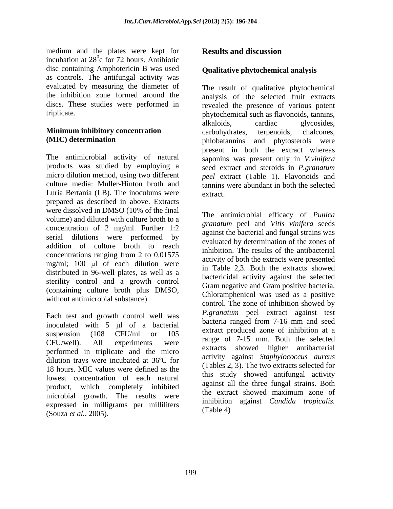medium and the plates were kept for **Results and discussion** incubation at  $28^\circ$ c for 72 hours. Antibiotic disc containing Amphotericin B was used as controls. The antifungal activity was evaluated by measuring the diameter of The result of qualitative phytochemical

The antimicrobial activity of natural saponins was present only in *V.vinifera* products was studied by employing a micro dilution method, using two different *peel* extract (Table 1). Flavonoids and culture media: Muller-Hinton broth and tannins were abundant in both the selected Luria Bertania (LB). The inoculums were prepared as described in above. Extracts were dissolved in DMSO (10% of the final volume) and diluted with culture broth to a concentration of 2 mg/ml. Further 1:2 serial dilutions were performed by addition of culture broth to reach concentrations ranging from 2 to 0.01575 mg/ml; 100  $\mu$ l of each dilution were distributed in 96-well plates, as well as a sterility control and a growth control Gram negative and Gram positive bacteria. (containing culture broth plus DMSO,<br>Chloramphenicol was used as a positive without antimicrobial substance).

Each test and growth control well was inoculated with  $5 \text{ ul}$  of a bacterial suspension  $(108 \t CFU/ml \t or \t 105 \t \t ^\t satact produced 2000 \t out of 10000 \t at a$  $CFU/well$ ). All experiments were  $\frac{1 \text{ angle}}{1}$  or  $\frac{1}{1}$  and  $\frac{1}{1}$  and  $\frac{1}{1}$  and  $\frac{1}{1}$ performed in triplicate and the micro dilution trays were incubated at 36ºC for 18 hours. MIC values were defined as the lowest concentration of each natural product, which completely inhibited against an the energy maximum zone of microbial growth. The results were expressed in milligrams per milliliters (Souza *et al.,* 2005).

## **Results and discussion**

## **Qualitative phytochemical analysis**

the inhibition zone formed around the analysis of the selected fruit extracts discs. These studies were performed in revealed the presence of various potent triplicate. phytochemical such as flavonoids, tannins, **Minimum inhibitory concentration** carbohydrates, terpenoids, chalcones, **(MIC) determination**  phlobatannins and phytosterols were alkaloids, cardiac glycosides, carbohydrates, terpenoids, chalcones, present in both the extract whereas seed extract and steroids in *P.granatum*  extract.

> The antimicrobial efficacy of *Punica granatum* peel and *Vitis vinifera* seeds against the bacterial and fungal strains was evaluated by determination of the zones of inhibition. The results of the antibacterial activity of both the extracts were presented in Table 2,3. Both the extracts showed bactericidal activity against the selected Gram negative and Gram positive bacteria. Chloramphenicol was used as <sup>a</sup> positive control. The zone of inhibition showed by *P.granatum* peel extract against test bacteria ranged from 7-16 mm and seed extract produced zone of inhibition at a range of 7-15 mm. Both the selected extracts showed higher antibacterial activity against *Staphylococcus aureus* (Tables 2, 3)*.* The two extracts selected for this study showed antifungal activity against all the three fungal strains. Both the extract showed maximum zone of inhibition against *Candida tropicalis.* (Table 4)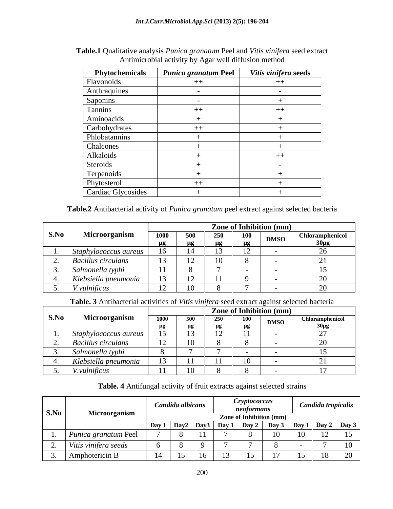| Phytochemicals                      | Punica granatum Peel | Vitis vinifera seeds |
|-------------------------------------|----------------------|----------------------|
| Flavonoids                          |                      | $++$                 |
|                                     |                      |                      |
|                                     |                      |                      |
| Anthraquines<br>Saponins<br>Tannins | ┿                    | $++$                 |
| Aminoacids                          |                      |                      |
| Carbohydrates                       |                      |                      |
| Phlobatannins                       |                      |                      |
| Chalcones                           |                      |                      |
| Alkaloids                           |                      | $^{++}$              |
| Steroids                            |                      |                      |
| Terpenoids                          |                      |                      |
| Phytosterol                         |                      |                      |
| Cardiac Glycosides                  |                      |                      |

| Table.1 Qualitative analysis Pu<br>a <i>a granatum</i> Peel and <i>Vitis</i><br>$\cdot$ $\cdot$<br>tis vinifera seed extract<br>$P$ <i>unic</i> |  |
|-------------------------------------------------------------------------------------------------------------------------------------------------|--|
| r well diffusion method<br>Antimicrobial activity by Aga                                                                                        |  |

**Table.2** Antibacterial activity of *Punica granatum* peel extract against selected bacteria

|      |                           |             |         |    |          | <b>Zone of Inhibition (mm)</b> |                        |
|------|---------------------------|-------------|---------|----|----------|--------------------------------|------------------------|
| S.No | Microorganism             | <b>1000</b> | -500    |    | 100      | DMSO                           | <b>Chloramphenicol</b> |
|      |                           | <u>. .</u>  | $\mu$ g | нσ | <u>.</u> |                                |                        |
|      | Staphylococcus aureus     |             |         |    |          |                                |                        |
|      | <b>Bacillus circulans</b> |             | $\perp$ |    |          |                                |                        |
|      | Salmonella typh           |             |         |    |          |                                |                        |
|      | Klebsiella pneumonia      |             | ┸       |    |          |                                |                        |
|      | <i>V.vulnificus</i>       |             |         |    |          |                                |                        |

**Table. 3** Antibacterial activities of *Vitis vinifera* seed extract against selected bacteria

|      | $- - -$                              |                          |              |                         | <b>Zone of Inhibition (mm)</b> |
|------|--------------------------------------|--------------------------|--------------|-------------------------|--------------------------------|
| S.No | Microorganism                        |                          |              |                         | Chloramphenicol<br><b>DMSO</b> |
|      |                                      | $\overline{\phantom{a}}$ |              | $\mu$ g $\mu$ g $\mu$ g |                                |
|      | <i>vohylococcus aureus</i><br>$\sim$ |                          | ⊥ J          | . .                     |                                |
|      | <b>Bacillus circulans</b>            |                          |              |                         |                                |
|      | Salmonella typhi                     |                          |              |                         |                                |
|      | Klebsiella pneumonia                 |                          |              |                         |                                |
|      | <i>V.vulnificus</i>                  |                          | $\mathbf{v}$ |                         |                                |

## **Table. 4** Antifungal activity of fruit extracts against selected strains

| S.No | Microorganism               | <i>Cryptococcus</i><br>Candida albicans<br>neoformans<br>Zone of Inhibition (mm) |              |        |                              |  |           | Candida tropicalis |        |                               |  |  |  |
|------|-----------------------------|----------------------------------------------------------------------------------|--------------|--------|------------------------------|--|-----------|--------------------|--------|-------------------------------|--|--|--|
|      |                             | Day 1                                                                            | $\vert$ Day2 |        | $\vert$ Day3   Day 1   Day 2 |  | $\bf Day$ |                    |        | $\vert$ Day 1   Day 2   Day 3 |  |  |  |
|      | <i>Punica granatum</i> Peel |                                                                                  |              | $ -$   |                              |  |           | 1 <sub>0</sub>     | $\sim$ | 15                            |  |  |  |
|      | Vitis vinifera seeds        |                                                                                  |              |        |                              |  |           |                    |        |                               |  |  |  |
|      | $\mathsf{A}$ mphotericin B  |                                                                                  | 1 J          | $\sim$ | $\sim$ $\sim$                |  |           | ΙJ                 | 18     | 20                            |  |  |  |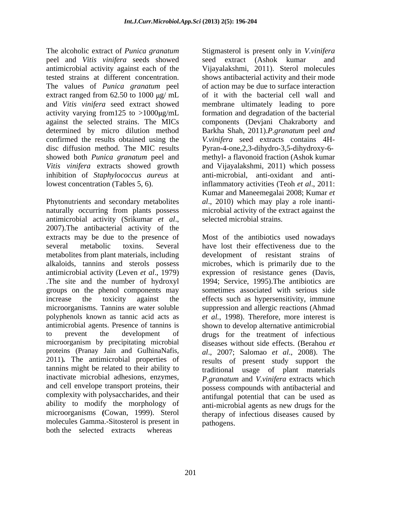The alcoholic extract of *Punica granatum* Stigmasterol is present only in *V.vinifera* peel and *Vitis vinifera* seeds showed antimicrobial activity against each of the Vijayalakshmi, 2011). Sterol molecules tested strains at different concentration. shows antibacterial activity and their mode The values of *Punica granatum* peel extract ranged from  $62.50$  to  $1000 \mu g$ / mL and *Vitis vinifera* seed extract showed membrane ultimately leading to pore activity varying from 125 to >1000 $\mu$ g/mL formation and degradation of the bacterial against the selected strains. The MICs components (Devjani Chakraborty and determined by micro dilution method Barkha Shah, 2011).*P.granatum* peel *and* confirmed the results obtained using the *V.vinifera* seed extracts contains 4H disc diffusion method. The MIC results Pyran-4-one,2,3-dihydro-3,5-dihydroxy-6 showed both *Punica granatum* peel and methyl- a flavonoid fraction (Ashok kumar *Vitis vinifera* extracts showed growth inhibition of *Staphylococcus aureus* at lowest concentration (Tables 5, 6). inflammatory activities (Teoh *et al.*, 2011:

Phytonutrients and secondary metabolites *al*., 2010) which may play a role inanti naturally occurring from plants possess antimicrobial activity (Srikumar *et al*., 2007).The antibacterial activity of the extracts may be due to the presence of Most of the antibiotics used nowadays several metabolic toxins. Several have lost their effectiveness due to the metabolites from plant materials, including development of resistant strains of alkaloids, tannins and sterols possess antimicrobial activity (Leven *et al*., 1979) expression of resistance genes (Davis, .The site and the number of hydroxyl groups on the phenol components may increase the toxicity against the effects such as hypersensitivity, immune microorganisms. Tannins are water soluble suppression and allergic reactions (Ahmad polyphenols known as tannic acid acts as *et al.*, 1998).Therefore, more interest is antimicrobial agents. Presence of tannins is shown to develop alternative antimicrobial to prevent the development of drugs for the treatment of infectious microorganism by precipitating microbial diseases without side effects. (Berahou *et*  proteins (Pranay Jain and GulhinaNafis, 2011)*.* The antimicrobial properties of results of present study support the tannins might be related to their ability to inactivate microbial adhesions, enzymes, *P.granatum* and *V.vinifera* extracts which and cell envelope transport proteins, their complexity with polysaccharides, and their ability to modify the morphology of anti-microbial agents as new drugs for the microorganisms **(**Cowan, 1999). Sterol therapy of infectious diseases caused by molecules Gamma.-Sitosterol is present in both the selected extracts whereas

seed extract (Ashok kumar of action may be due to surface interaction of it with the bacterial cell wall and and Vijayalakshmi, 2011) which possess anti-microbial, anti-oxidant and anti-Kumar and Maneemegalai 2008; Kumar *et*  microbial activity of the extract against the selected microbial strains.

microbes, which is primarily due to the 1994; Service, 1995).The antibiotics are sometimes associated with serious side *al*., 2007; Salomao *et al*., 2008). The traditional usage of plant materials possess compounds with antibacterial and antifungal potential that can be used as pathogens.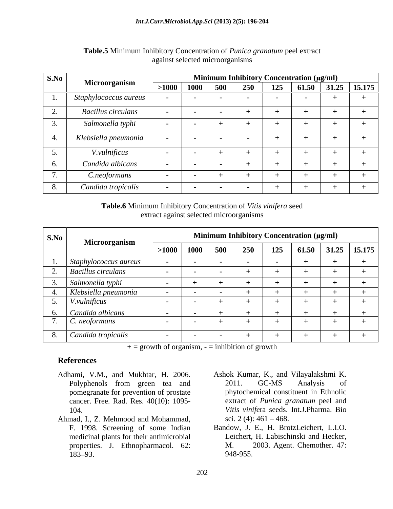| S.No |                           |         |      |        |               |     | Minimum Inhibitory Concentration (µg/ml) |                |
|------|---------------------------|---------|------|--------|---------------|-----|------------------------------------------|----------------|
|      | Microorganism             | $>1000$ | 1000 | 500    | 250<br>43V    | 125 | 61.50                                    | $31.25$ 15.175 |
|      | Staphylococcus aureus     |         |      |        |               |     |                                          |                |
|      | <b>Bacillus circulans</b> |         |      |        | $+$           |     |                                          |                |
|      | Salmonella typhi          |         |      |        | $+$           |     |                                          |                |
|      | Klebsiella pneumonia      |         |      | $\sim$ | $\sim$        |     |                                          |                |
|      | <i>V.vulnificus</i>       |         |      |        | -             |     |                                          |                |
|      | Candida albicans          |         |      |        | $+$           |     |                                          |                |
|      | C.neoformans              |         |      |        | -             |     |                                          |                |
|      | Candida tropicalis        |         |      | $\sim$ | $\sim$ $\sim$ |     |                                          |                |

## **Table.5** Minimum Inhibitory Concentration of *Punica granatum* peel extract against selected microorganisms

**Table.6** Minimum Inhibitory Concentration of *Vitis vinifera* seed extract against selected microorganisms

| S.No |                       |        |                |        |     |     | <b>Minimum Inhibitory Concentration (μg/ml)</b> |                  |
|------|-----------------------|--------|----------------|--------|-----|-----|-------------------------------------------------|------------------|
|      | Microorganism         |        | $>1000$   1000 | 500    | 250 | 125 | 61.50                                           | $31.25$   15.175 |
|      | Staphylococcus aureus |        |                |        |     |     |                                                 |                  |
|      | Bacillus circulans    |        |                |        |     |     |                                                 |                  |
|      | Salmonella typhi      |        |                |        |     |     |                                                 |                  |
|      | Klebsiella pneumonia  |        |                |        |     |     |                                                 |                  |
|      | <i>V.vulnificus</i>   |        |                |        |     |     |                                                 |                  |
|      | Candida albicans      |        |                |        |     |     |                                                 |                  |
|      | C. neoformans         |        |                |        |     |     |                                                 |                  |
|      | Candida tropicalis    | $\sim$ |                | $\sim$ |     |     |                                                 |                  |

 $+=$  growth of organism,  $=$  inhibition of growth

## **References**

- 
- Ahmad, I., Z. Mehmood and Mohammad, medicinal plants for their antimicrobial properties. J. Ethnopharmacol. 62: M.
- Adhami, V.M., and Mukhtar, H. 2006. Ashok Kumar, K., and Vilayalakshmi K. Polyphenols from green tea and 2011. GC-MS Analysis of pomegranate for prevention of prostate phytochemical constituent in Ethnolic cancer. Free. Rad. Res. 40(10): 1095- extract of *Punica granatum* peel and 104. *Vitis vinife*ra seeds. Int.J.Pharma. Bio 2011. GC-MS Analysis of sci. 2 (4):  $461 - 468$ .
	- F. 1998. Screening of some Indian Bandow, J. E., H. BrotzLeichert, L.I.O. 183–93. 948-955. Leichert, H. Labischinski and Hecker, 2003. Agent. Chemother. 47: 948-955.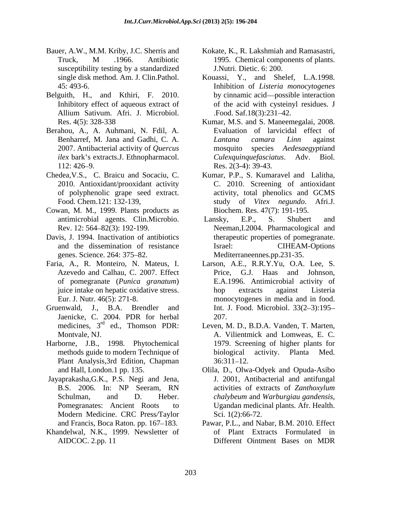- Bauer, A.W., M.M. Kriby, J.C. Sherris and Kokate, K., R. Lakshmiah and Ramasastri, susceptibility testing by a standardized
- Belguith, H., and Kthiri, F. 2010.
- Berahou, A., A. Auhmani, N. Fdil, A. 2007. Antibacterial activity of *Quercus ilex* bark's extracts.J. Ethnopharmacol.
- of polyphenolic grape seed extract.
- Cowan, M. M., 1999. Plants products as
- Davis, J. 1994. Inactivation of antibiotics and the dissemination of resistance genes. Science. 264: 375–82. Mediterraneennes.pp.231-35.
- of pomegranate (*Punica granatum*)
- Jaenicke, C. 2004. PDR for herbal 207.<br>medicines,  $3^{rd}$  ed., Thomson PDR: Leven, N
- Harborne, J.B., 1998. Phytochemical Plant Analysis, 3rd Edition, Chapman 36:311-12.
- Jayaprakasha,G.K., P.S. Negi and Jena, Modern Medicine. CRC Press*/*Taylor
- Khandelwal, N.K., 1999. Newsletter of
- Truck, M .1966. Antibiotic 1995. Chemical components of plants. J.Nutri. Dietic. 6: 200.
- single disk method. Am. J. Clin.Pathol. Kouassi, Y., and Shelef, L.A.1998. 45: 493-6. Inhibition of *Listeria monocytogenes* Inhibitory effect of aqueous extract of of the acid with cysteinyl residues. J Allium Sativum. Afri. J. Microbiol. by cinnamic acid—possible interaction .Food. Saf.18(3):231–42.
- Res. 4(5): 328-338 Kumar, M.S. and S. Maneemegalai, 2008. Benharref, M. Jana and Gadhi, C. A. *Lantana camara Linn* against 112: 426–9. Res. 2(3-4): 39-43. Evaluation of larvicidal effect of *Lantana camara Linn* against species *Aedesaegyptiand Culexquinquefasciatus*. Adv. Biol. Res. 2(3-4): 39-43.
- Chedea,V.S., C. Braicu and Socaciu, C. Kumar, P.P., S. Kumaravel and Lalitha, 2010. Antioxidant/prooxidant activity C. 2010. Screening of antioxidant Food. Chem.121: 132-139, study of *Vitex negundo*. Afri.J. activity, total phenolics and GCMS Biochem. Res. 47(7): 191-195.
	- antimicrobial agents. Clin.Microbio. Lansky, E.P., S. Shubert and Rev. 12: 564–82(3): 192-199. Neeman, I.2004. Pharmacological and Lansky, E.P., S. Shubert and therapeutic properties of pomegranate. CIHEAM-Options
- Faria, A., R. Monteiro, N. Mateus, I. Larson, A.E., R.R.Y.Yu, O.A. Lee, S. Azevedo and Calhau, C. 2007. Effect Price, G.J. Haas and Johnson, juice intake on hepatic oxidative stress. Eur. J. Nutr. 46(5): 271-8. monocytogenes in media and in food. Gruenwald, J., B.A. Brendler and Int. J. Food. Microbiol. 33(2–3):195– Price, G.J. Haas and Johnson, E.A.1996. Antimicrobial activity of hop extracts against Listeria 207.
	- medicines, 3<sup>rd</sup> ed., Thomson PDR: Leven, M. D., B.D.A. Vanden, T. Marten, Montvale, NJ. A. Vilientmick and Lomweas, E. C. methods guide to modern Technique of biological activity. Planta Med. 1979. Screening of higher plants for biological activity. Planta Med.  $36:311 - 12.$
	- and Hall, London.1 pp. 135. Olila, D., Olwa-Odyek and Opuda-Asibo B.S. 2006. In: NP Seeram, RN activities of extracts of Zanthoxylum Schulman, and D. Heber. *chalybeum* and *Warburgiau gandensis*, Pomegranates: Ancient Roots to Ugandan medicinal plants. Afr. Health. J. 2001, Antibacterial and antifungal activities of extracts of *Zanthoxylum chalybeum* and *Warburgiau gandensis*, Ugandan medicinal plants. Afr. Health. Sci. 1(2):66-72.
	- and Francis, Boca Raton. pp. 167–183. Pawar, P.L., and Nabar, B.M. 2010. Effect AIDCOC. 2.pp. 11 Different Ointment Bases on MDRof Plant Extracts Formulated in